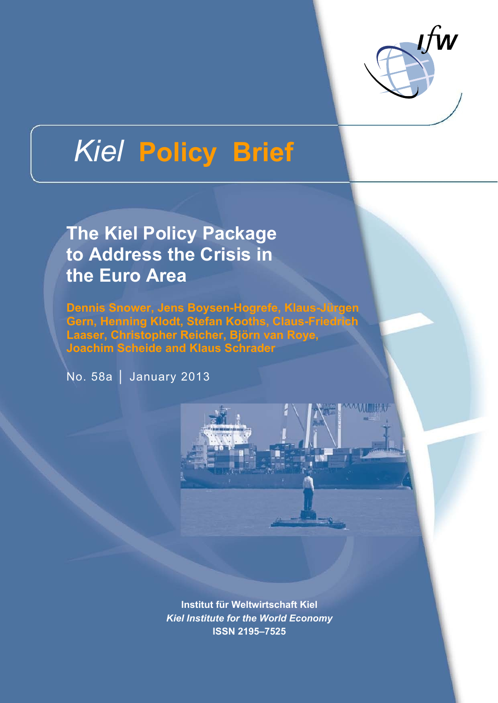

火川開新

# *Kiel* **Policy Brief**

**The Kiel Policy Package to Address the Crisis in the Euro Area** 

**Dennis Snower, Jens Boysen-Hogrefe, Klaus-Jürgen Gern, Henning Klodt, Stefan Kooths, Claus-Friedrich Laaser, Christopher Reicher, Björn van Roye, Joachim Scheide and Klaus Schrader** 

No. 58a │ January 2013

**Institut für Weltwirtschaft Kiel**  *Kiel Institute for the World Economy*  **ISSN 2195–7525**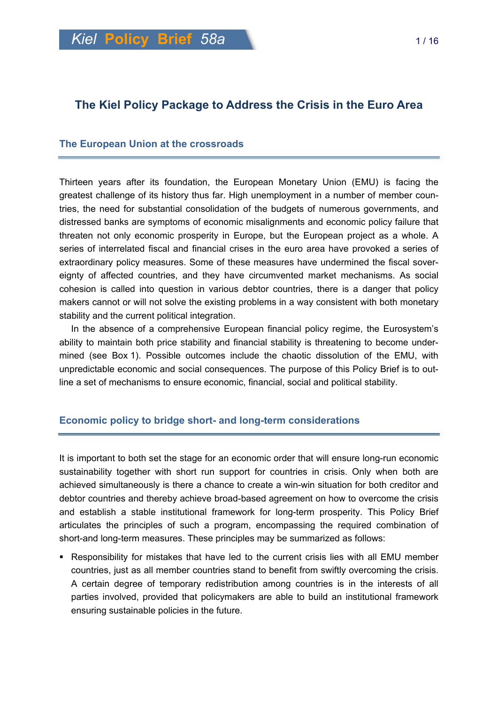# **The Kiel Policy Package to Address the Crisis in the Euro Area**

#### **The European Union at the crossroads**

Thirteen years after its foundation, the European Monetary Union (EMU) is facing the greatest challenge of its history thus far. High unemployment in a number of member countries, the need for substantial consolidation of the budgets of numerous governments, and distressed banks are symptoms of economic misalignments and economic policy failure that threaten not only economic prosperity in Europe, but the European project as a whole. A series of interrelated fiscal and financial crises in the euro area have provoked a series of extraordinary policy measures. Some of these measures have undermined the fiscal sovereignty of affected countries, and they have circumvented market mechanisms. As social cohesion is called into question in various debtor countries, there is a danger that policy makers cannot or will not solve the existing problems in a way consistent with both monetary stability and the current political integration.

In the absence of a comprehensive European financial policy regime, the Eurosystem's ability to maintain both price stability and financial stability is threatening to become undermined (see Box 1). Possible outcomes include the chaotic dissolution of the EMU, with unpredictable economic and social consequences. The purpose of this Policy Brief is to outline a set of mechanisms to ensure economic, financial, social and political stability.

## **Economic policy to bridge short- and long-term considerations**

It is important to both set the stage for an economic order that will ensure long-run economic sustainability together with short run support for countries in crisis. Only when both are achieved simultaneously is there a chance to create a win-win situation for both creditor and debtor countries and thereby achieve broad-based agreement on how to overcome the crisis and establish a stable institutional framework for long-term prosperity. This Policy Brief articulates the principles of such a program, encompassing the required combination of short-and long-term measures. These principles may be summarized as follows:

 Responsibility for mistakes that have led to the current crisis lies with all EMU member countries, just as all member countries stand to benefit from swiftly overcoming the crisis. A certain degree of temporary redistribution among countries is in the interests of all parties involved, provided that policymakers are able to build an institutional framework ensuring sustainable policies in the future.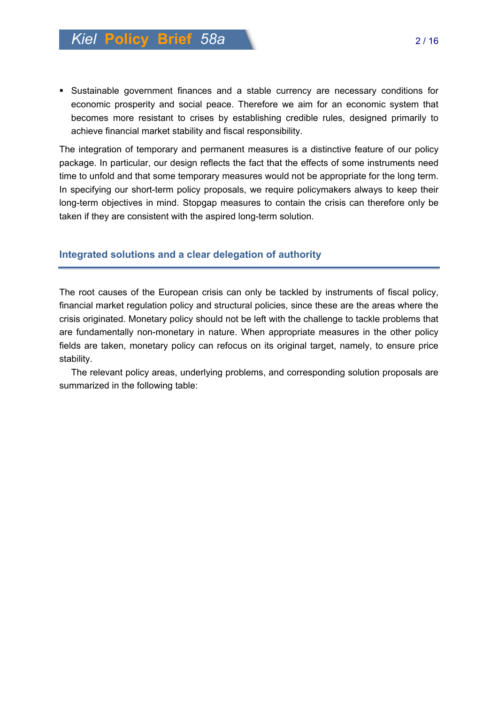Sustainable government finances and a stable currency are necessary conditions for economic prosperity and social peace. Therefore we aim for an economic system that becomes more resistant to crises by establishing credible rules, designed primarily to achieve financial market stability and fiscal responsibility.

The integration of temporary and permanent measures is a distinctive feature of our policy package. In particular, our design reflects the fact that the effects of some instruments need time to unfold and that some temporary measures would not be appropriate for the long term. In specifying our short-term policy proposals, we require policymakers always to keep their long-term objectives in mind. Stopgap measures to contain the crisis can therefore only be taken if they are consistent with the aspired long-term solution.

## **Integrated solutions and a clear delegation of authority**

The root causes of the European crisis can only be tackled by instruments of fiscal policy, financial market regulation policy and structural policies, since these are the areas where the crisis originated. Monetary policy should not be left with the challenge to tackle problems that are fundamentally non-monetary in nature. When appropriate measures in the other policy fields are taken, monetary policy can refocus on its original target, namely, to ensure price stability.

The relevant policy areas, underlying problems, and corresponding solution proposals are summarized in the following table: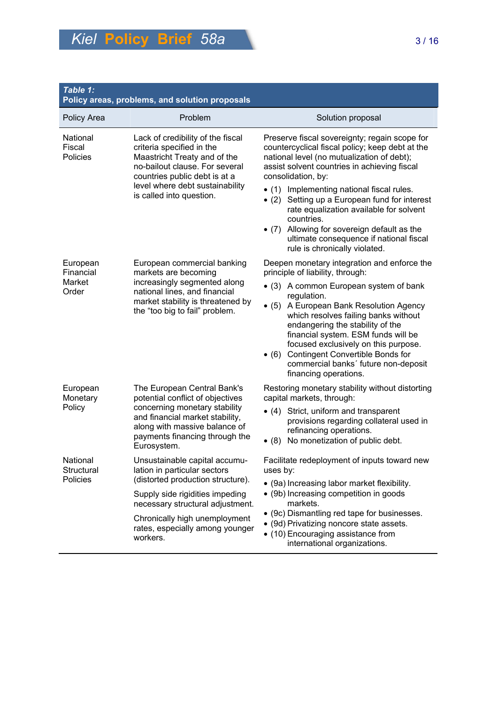| Table 1:<br>Policy areas, problems, and solution proposals |                                                                                                                                                                                                                                  |                                                                                                                                                                                                                                                                                                                              |  |  |
|------------------------------------------------------------|----------------------------------------------------------------------------------------------------------------------------------------------------------------------------------------------------------------------------------|------------------------------------------------------------------------------------------------------------------------------------------------------------------------------------------------------------------------------------------------------------------------------------------------------------------------------|--|--|
| Policy Area                                                | Problem                                                                                                                                                                                                                          | Solution proposal                                                                                                                                                                                                                                                                                                            |  |  |
| National<br>Fiscal<br>Policies                             | Lack of credibility of the fiscal<br>criteria specified in the<br>Maastricht Treaty and of the<br>no-bailout clause. For several<br>countries public debt is at a<br>level where debt sustainability<br>is called into question. | Preserve fiscal sovereignty; regain scope for<br>countercyclical fiscal policy; keep debt at the<br>national level (no mutualization of debt);<br>assist solvent countries in achieving fiscal<br>consolidation, by:                                                                                                         |  |  |
|                                                            |                                                                                                                                                                                                                                  | • (1) Implementing national fiscal rules.<br>Setting up a European fund for interest<br>• $(2)$<br>rate equalization available for solvent<br>countries.<br>Allowing for sovereign default as the<br>$\bullet$ (7)<br>ultimate consequence if national fiscal<br>rule is chronically violated.                               |  |  |
| European<br>Financial<br>Market<br>Order                   | European commercial banking<br>markets are becoming<br>increasingly segmented along<br>national lines, and financial<br>market stability is threatened by<br>the "too big to fail" problem.                                      | Deepen monetary integration and enforce the<br>principle of liability, through:                                                                                                                                                                                                                                              |  |  |
|                                                            |                                                                                                                                                                                                                                  | • (3) A common European system of bank                                                                                                                                                                                                                                                                                       |  |  |
|                                                            |                                                                                                                                                                                                                                  | regulation.<br>• (5) A European Bank Resolution Agency<br>which resolves failing banks without<br>endangering the stability of the<br>financial system. ESM funds will be<br>focused exclusively on this purpose.<br>• (6) Contingent Convertible Bonds for<br>commercial banks' future non-deposit<br>financing operations. |  |  |
| European<br>Monetary                                       | The European Central Bank's<br>potential conflict of objectives<br>concerning monetary stability<br>and financial market stability,<br>along with massive balance of<br>payments financing through the<br>Eurosystem.            | Restoring monetary stability without distorting<br>capital markets, through:                                                                                                                                                                                                                                                 |  |  |
| Policy                                                     |                                                                                                                                                                                                                                  | • (4) Strict, uniform and transparent<br>provisions regarding collateral used in<br>refinancing operations.<br>No monetization of public debt.<br>$\bullet$ (8)                                                                                                                                                              |  |  |
| National<br>Structural<br>Policies                         | Unsustainable capital accumu-<br>lation in particular sectors<br>(distorted production structure).                                                                                                                               | Facilitate redeployment of inputs toward new<br>uses by:<br>• (9a) Increasing labor market flexibility.<br>• (9b) Increasing competition in goods<br>markets.                                                                                                                                                                |  |  |
|                                                            | Supply side rigidities impeding<br>necessary structural adjustment.                                                                                                                                                              |                                                                                                                                                                                                                                                                                                                              |  |  |
|                                                            | Chronically high unemployment<br>rates, especially among younger<br>workers.                                                                                                                                                     | • (9c) Dismantling red tape for businesses.<br>• (9d) Privatizing noncore state assets.<br>• (10) Encouraging assistance from<br>international organizations.                                                                                                                                                                |  |  |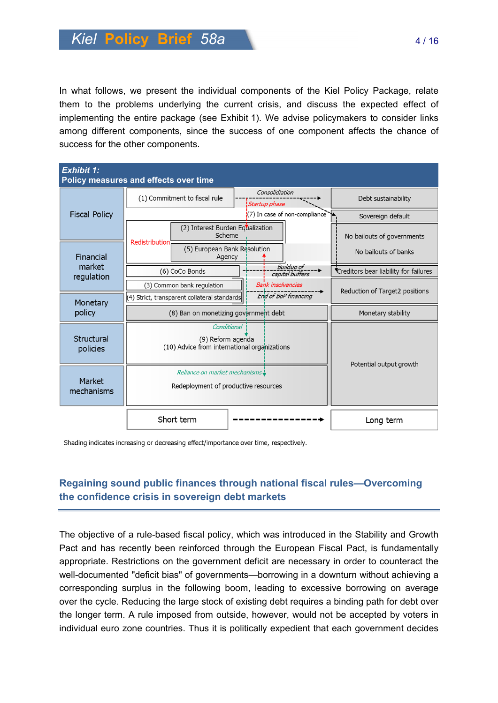In what follows, we present the individual components of the Kiel Policy Package, relate them to the problems underlying the current crisis, and discuss the expected effect of implementing the entire package (see Exhibit 1). We advise policymakers to consider links among different components, since the success of one component affects the chance of success for the other components.

| <b>Exhibit 1:</b><br>Policy measures and effects over time |                                                                                  |                                        |  |  |
|------------------------------------------------------------|----------------------------------------------------------------------------------|----------------------------------------|--|--|
| <b>Fiscal Policy</b>                                       | Consolidiation<br>(1) Commitment to fiscal rule<br>Startup phase                 | Debt sustainability                    |  |  |
|                                                            | $(7)$ In case of non-compliance                                                  | Sovereign default                      |  |  |
|                                                            | (2) Interest Burden Equalization<br>Scheme<br><b>Redistribution</b>              | No bailouts of governments             |  |  |
| Financial<br>market<br>regulation<br>Monetary<br>policy    | (5) European Bank Resolution<br>Agency                                           | No bailouts of banks                   |  |  |
|                                                            | <b>Buildup of</b><br>(6) CoCo Bonds<br>capital buffers                           | *Creditors bear liability for failures |  |  |
|                                                            | <b>Bank insolvencies</b><br>(3) Common bank regulation<br>End of BoP financing   | Reduction of Target2 positions         |  |  |
|                                                            | (4) Strict, transparent collateral standards                                     |                                        |  |  |
|                                                            | (8) Ban on monetizing government debt                                            | Monetary stability                     |  |  |
| Structural<br>policies                                     | Conditional<br>(9) Reform agenda<br>(10) Advice from international organizations | Potential output growth                |  |  |
| Market<br>mechanisms                                       | Reliance on market mechanisms<br>Redeployment of productive resources            |                                        |  |  |
|                                                            | Short term                                                                       | Long term                              |  |  |

Shading indicates increasing or decreasing effect/importance over time, respectively.

# **Regaining sound public finances through national fiscal rules—Overcoming the confidence crisis in sovereign debt markets**

The objective of a rule-based fiscal policy, which was introduced in the Stability and Growth Pact and has recently been reinforced through the European Fiscal Pact, is fundamentally appropriate. Restrictions on the government deficit are necessary in order to counteract the well-documented "deficit bias" of governments—borrowing in a downturn without achieving a corresponding surplus in the following boom, leading to excessive borrowing on average over the cycle. Reducing the large stock of existing debt requires a binding path for debt over the longer term. A rule imposed from outside, however, would not be accepted by voters in individual euro zone countries. Thus it is politically expedient that each government decides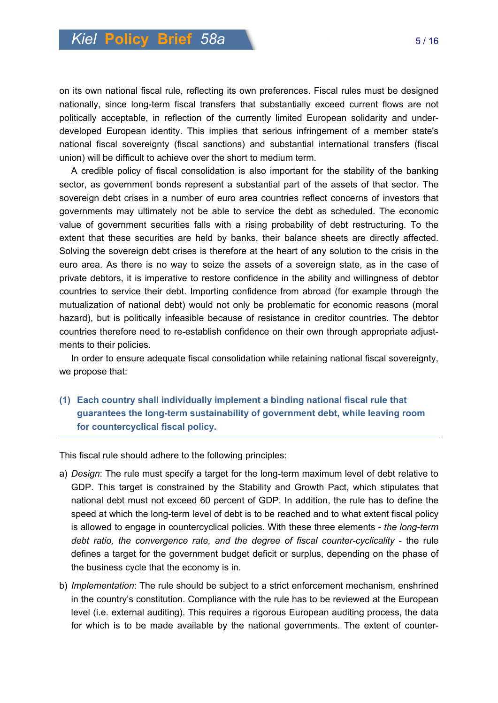on its own national fiscal rule, reflecting its own preferences. Fiscal rules must be designed nationally, since long-term fiscal transfers that substantially exceed current flows are not politically acceptable, in reflection of the currently limited European solidarity and underdeveloped European identity. This implies that serious infringement of a member state's national fiscal sovereignty (fiscal sanctions) and substantial international transfers (fiscal union) will be difficult to achieve over the short to medium term.

A credible policy of fiscal consolidation is also important for the stability of the banking sector, as government bonds represent a substantial part of the assets of that sector. The sovereign debt crises in a number of euro area countries reflect concerns of investors that governments may ultimately not be able to service the debt as scheduled. The economic value of government securities falls with a rising probability of debt restructuring. To the extent that these securities are held by banks, their balance sheets are directly affected. Solving the sovereign debt crises is therefore at the heart of any solution to the crisis in the euro area. As there is no way to seize the assets of a sovereign state, as in the case of private debtors, it is imperative to restore confidence in the ability and willingness of debtor countries to service their debt. Importing confidence from abroad (for example through the mutualization of national debt) would not only be problematic for economic reasons (moral hazard), but is politically infeasible because of resistance in creditor countries. The debtor countries therefore need to re-establish confidence on their own through appropriate adjustments to their policies.

In order to ensure adequate fiscal consolidation while retaining national fiscal sovereignty, we propose that:

**(1) Each country shall individually implement a binding national fiscal rule that guarantees the long-term sustainability of government debt, while leaving room for countercyclical fiscal policy.** 

This fiscal rule should adhere to the following principles:

- a) *Design*: The rule must specify a target for the long-term maximum level of debt relative to GDP. This target is constrained by the Stability and Growth Pact, which stipulates that national debt must not exceed 60 percent of GDP. In addition, the rule has to define the speed at which the long-term level of debt is to be reached and to what extent fiscal policy is allowed to engage in countercyclical policies. With these three elements - *the long-term debt ratio, the convergence rate, and the degree of fiscal counter-cyclicality* - the rule defines a target for the government budget deficit or surplus, depending on the phase of the business cycle that the economy is in.
- b) *Implementation*: The rule should be subject to a strict enforcement mechanism, enshrined in the country's constitution. Compliance with the rule has to be reviewed at the European level (i.e. external auditing). This requires a rigorous European auditing process, the data for which is to be made available by the national governments. The extent of counter-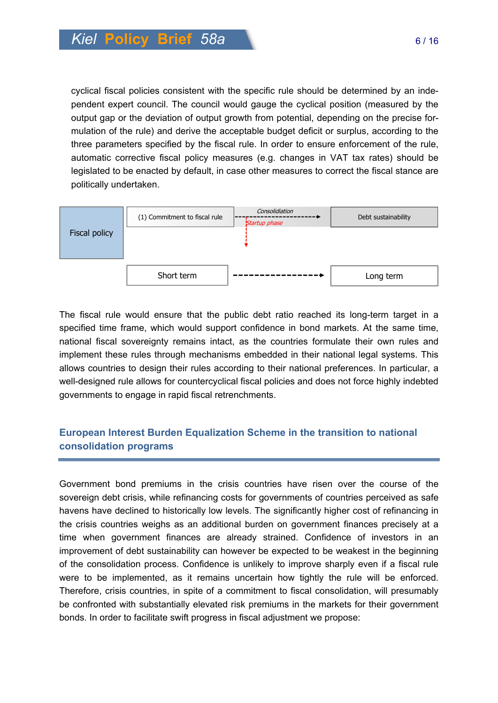cyclical fiscal policies consistent with the specific rule should be determined by an independent expert council. The council would gauge the cyclical position (measured by the output gap or the deviation of output growth from potential, depending on the precise formulation of the rule) and derive the acceptable budget deficit or surplus, according to the three parameters specified by the fiscal rule. In order to ensure enforcement of the rule, automatic corrective fiscal policy measures (e.g. changes in VAT tax rates) should be legislated to be enacted by default, in case other measures to correct the fiscal stance are politically undertaken.



The fiscal rule would ensure that the public debt ratio reached its long-term target in a specified time frame, which would support confidence in bond markets. At the same time, national fiscal sovereignty remains intact, as the countries formulate their own rules and implement these rules through mechanisms embedded in their national legal systems. This allows countries to design their rules according to their national preferences. In particular, a well-designed rule allows for countercyclical fiscal policies and does not force highly indebted governments to engage in rapid fiscal retrenchments.

# **European Interest Burden Equalization Scheme in the transition to national consolidation programs**

Government bond premiums in the crisis countries have risen over the course of the sovereign debt crisis, while refinancing costs for governments of countries perceived as safe havens have declined to historically low levels. The significantly higher cost of refinancing in the crisis countries weighs as an additional burden on government finances precisely at a time when government finances are already strained. Confidence of investors in an improvement of debt sustainability can however be expected to be weakest in the beginning of the consolidation process. Confidence is unlikely to improve sharply even if a fiscal rule were to be implemented, as it remains uncertain how tightly the rule will be enforced. Therefore, crisis countries, in spite of a commitment to fiscal consolidation, will presumably be confronted with substantially elevated risk premiums in the markets for their government bonds. In order to facilitate swift progress in fiscal adjustment we propose: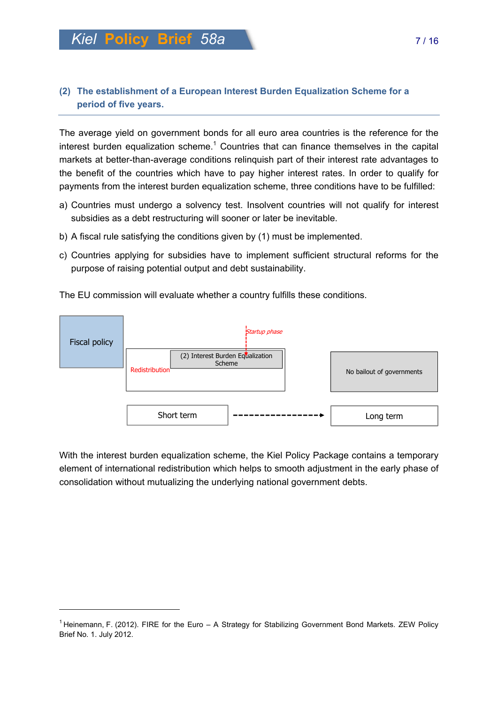# **(2) The establishment of a European Interest Burden Equalization Scheme for a period of five years.**

The average yield on government bonds for all euro area countries is the reference for the interest burden equalization scheme.<sup>1</sup> Countries that can finance themselves in the capital markets at better-than-average conditions relinquish part of their interest rate advantages to the benefit of the countries which have to pay higher interest rates. In order to qualify for payments from the interest burden equalization scheme, three conditions have to be fulfilled:

- a) Countries must undergo a solvency test. Insolvent countries will not qualify for interest subsidies as a debt restructuring will sooner or later be inevitable.
- b) A fiscal rule satisfying the conditions given by (1) must be implemented.
- c) Countries applying for subsidies have to implement sufficient structural reforms for the purpose of raising potential output and debt sustainability.

The EU commission will evaluate whether a country fulfills these conditions.



With the interest burden equalization scheme, the Kiel Policy Package contains a temporary element of international redistribution which helps to smooth adjustment in the early phase of consolidation without mutualizing the underlying national government debts.

 $\overline{a}$ 

<sup>&</sup>lt;sup>1</sup> Heinemann, F. (2012). FIRE for the Euro – A Strategy for Stabilizing Government Bond Markets. ZEW Policy Brief No. 1. July 2012.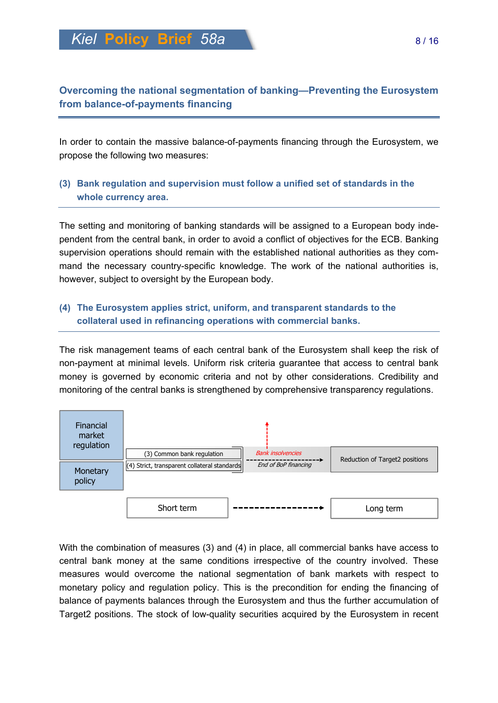*Kiel* **Policy Brief** *58a* 8 / 16

# **Overcoming the national segmentation of banking—Preventing the Eurosystem from balance-of-payments financing**

In order to contain the massive balance-of-payments financing through the Eurosystem, we propose the following two measures:

# **(3) Bank regulation and supervision must follow a unified set of standards in the whole currency area.**

The setting and monitoring of banking standards will be assigned to a European body independent from the central bank, in order to avoid a conflict of objectives for the ECB. Banking supervision operations should remain with the established national authorities as they command the necessary country-specific knowledge. The work of the national authorities is, however, subject to oversight by the European body.

## **(4) The Eurosystem applies strict, uniform, and transparent standards to the collateral used in refinancing operations with commercial banks.**

The risk management teams of each central bank of the Eurosystem shall keep the risk of non-payment at minimal levels. Uniform risk criteria guarantee that access to central bank money is governed by economic criteria and not by other considerations. Credibility and monitoring of the central banks is strengthened by comprehensive transparency regulations.



With the combination of measures (3) and (4) in place, all commercial banks have access to central bank money at the same conditions irrespective of the country involved. These measures would overcome the national segmentation of bank markets with respect to monetary policy and regulation policy. This is the precondition for ending the financing of balance of payments balances through the Eurosystem and thus the further accumulation of Target2 positions. The stock of low-quality securities acquired by the Eurosystem in recent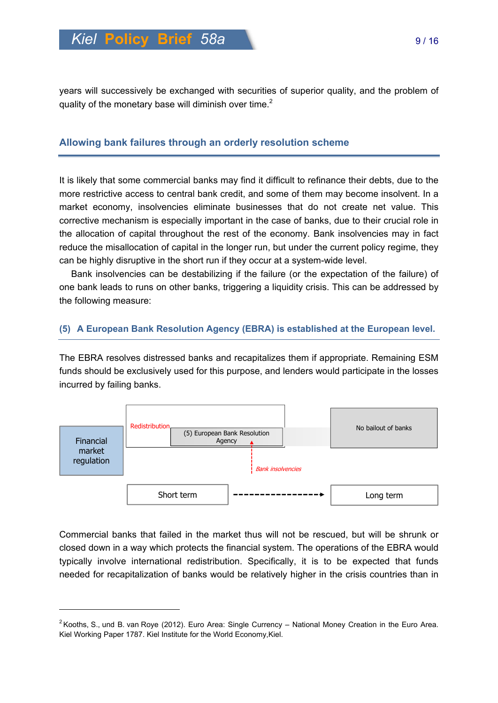years will successively be exchanged with securities of superior quality, and the problem of quality of the monetary base will diminish over time.<sup>2</sup>

## **Allowing bank failures through an orderly resolution scheme**

It is likely that some commercial banks may find it difficult to refinance their debts, due to the more restrictive access to central bank credit, and some of them may become insolvent. In a market economy, insolvencies eliminate businesses that do not create net value. This corrective mechanism is especially important in the case of banks, due to their crucial role in the allocation of capital throughout the rest of the economy. Bank insolvencies may in fact reduce the misallocation of capital in the longer run, but under the current policy regime, they can be highly disruptive in the short run if they occur at a system-wide level.

Bank insolvencies can be destabilizing if the failure (or the expectation of the failure) of one bank leads to runs on other banks, triggering a liquidity crisis. This can be addressed by the following measure:

#### **(5) A European Bank Resolution Agency (EBRA) is established at the European level.**

The EBRA resolves distressed banks and recapitalizes them if appropriate. Remaining ESM funds should be exclusively used for this purpose, and lenders would participate in the losses incurred by failing banks.



Commercial banks that failed in the market thus will not be rescued, but will be shrunk or closed down in a way which protects the financial system. The operations of the EBRA would typically involve international redistribution. Specifically, it is to be expected that funds needed for recapitalization of banks would be relatively higher in the crisis countries than in

 $\overline{a}$ 

 $2$ Kooths, S., und B. van Roye (2012). Euro Area: Single Currency – National Money Creation in the Euro Area. Kiel Working Paper 1787. Kiel Institute for the World Economy,Kiel.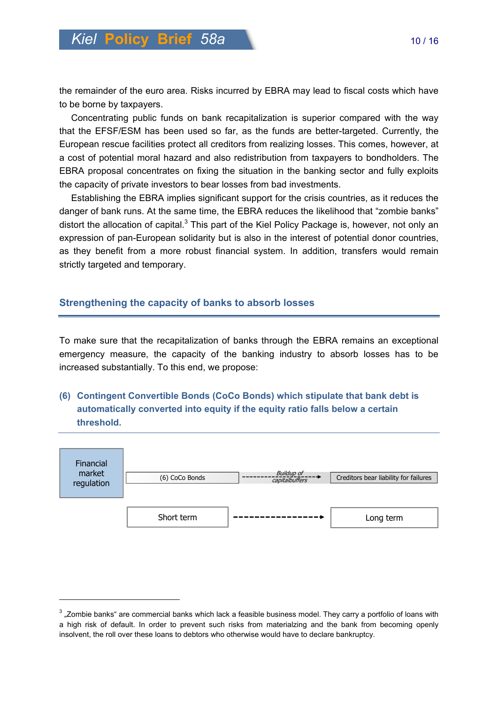the remainder of the euro area. Risks incurred by EBRA may lead to fiscal costs which have to be borne by taxpayers.

Concentrating public funds on bank recapitalization is superior compared with the way that the EFSF/ESM has been used so far, as the funds are better-targeted. Currently, the European rescue facilities protect all creditors from realizing losses. This comes, however, at a cost of potential moral hazard and also redistribution from taxpayers to bondholders. The EBRA proposal concentrates on fixing the situation in the banking sector and fully exploits the capacity of private investors to bear losses from bad investments.

Establishing the EBRA implies significant support for the crisis countries, as it reduces the danger of bank runs. At the same time, the EBRA reduces the likelihood that "zombie banks" distort the allocation of capital.<sup>3</sup> This part of the Kiel Policy Package is, however, not only an expression of pan-European solidarity but is also in the interest of potential donor countries, as they benefit from a more robust financial system. In addition, transfers would remain strictly targeted and temporary.

#### **Strengthening the capacity of banks to absorb losses**

 $\overline{a}$ 

To make sure that the recapitalization of banks through the EBRA remains an exceptional emergency measure, the capacity of the banking industry to absorb losses has to be increased substantially. To this end, we propose:

**(6) Contingent Convertible Bonds (CoCo Bonds) which stipulate that bank debt is automatically converted into equity if the equity ratio falls below a certain threshold.** 



 $^3$  "Zombie banks" are commercial banks which lack a feasible business model. They carry a portfolio of loans with a high risk of default. In order to prevent such risks from materialzing and the bank from becoming openly insolvent, the roll over these loans to debtors who otherwise would have to declare bankruptcy.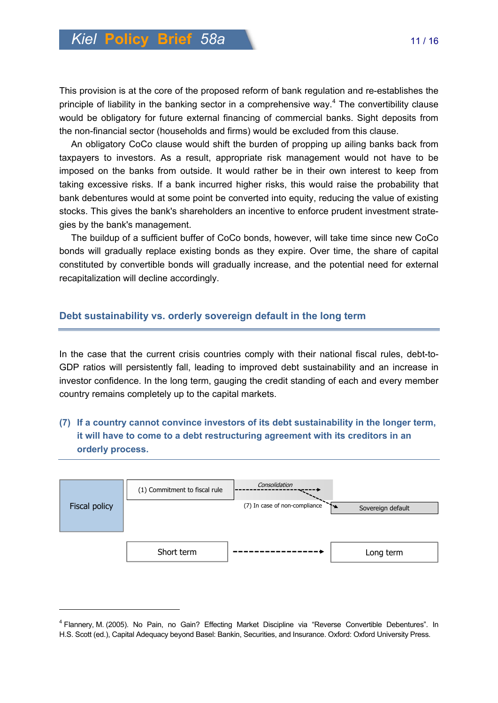This provision is at the core of the proposed reform of bank regulation and re-establishes the principle of liability in the banking sector in a comprehensive way. $4$  The convertibility clause would be obligatory for future external financing of commercial banks. Sight deposits from the non-financial sector (households and firms) would be excluded from this clause.

An obligatory CoCo clause would shift the burden of propping up ailing banks back from taxpayers to investors. As a result, appropriate risk management would not have to be imposed on the banks from outside. It would rather be in their own interest to keep from taking excessive risks. If a bank incurred higher risks, this would raise the probability that bank debentures would at some point be converted into equity, reducing the value of existing stocks. This gives the bank's shareholders an incentive to enforce prudent investment strategies by the bank's management.

The buildup of a sufficient buffer of CoCo bonds, however, will take time since new CoCo bonds will gradually replace existing bonds as they expire. Over time, the share of capital constituted by convertible bonds will gradually increase, and the potential need for external recapitalization will decline accordingly.

#### **Debt sustainability vs. orderly sovereign default in the long term**

In the case that the current crisis countries comply with their national fiscal rules, debt-to-GDP ratios will persistently fall, leading to improved debt sustainability and an increase in investor confidence. In the long term, gauging the credit standing of each and every member country remains completely up to the capital markets.

# **(7) If a country cannot convince investors of its debt sustainability in the longer term, it will have to come to a debt restructuring agreement with its creditors in an orderly process.**



 $\overline{a}$ 

<sup>&</sup>lt;sup>4</sup> Flannery, M. (2005). No Pain, no Gain? Effecting Market Discipline via "Reverse Convertible Debentures". In H.S. Scott (ed.), Capital Adequacy beyond Basel: Bankin, Securities, and Insurance. Oxford: Oxford University Press.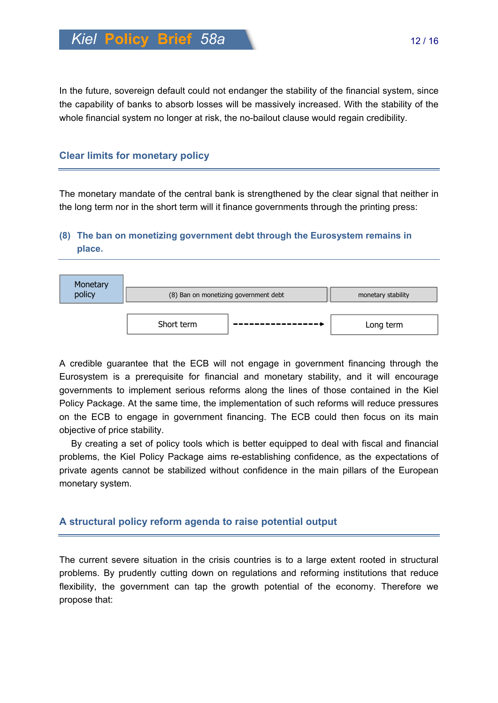In the future, sovereign default could not endanger the stability of the financial system, since the capability of banks to absorb losses will be massively increased. With the stability of the whole financial system no longer at risk, the no-bailout clause would regain credibility.

## **Clear limits for monetary policy**

The monetary mandate of the central bank is strengthened by the clear signal that neither in the long term nor in the short term will it finance governments through the printing press:

# **(8) The ban on monetizing government debt through the Eurosystem remains in place.**



A credible guarantee that the ECB will not engage in government financing through the Eurosystem is a prerequisite for financial and monetary stability, and it will encourage governments to implement serious reforms along the lines of those contained in the Kiel Policy Package. At the same time, the implementation of such reforms will reduce pressures on the ECB to engage in government financing. The ECB could then focus on its main objective of price stability.

By creating a set of policy tools which is better equipped to deal with fiscal and financial problems, the Kiel Policy Package aims re-establishing confidence, as the expectations of private agents cannot be stabilized without confidence in the main pillars of the European monetary system.

## **A structural policy reform agenda to raise potential output**

The current severe situation in the crisis countries is to a large extent rooted in structural problems. By prudently cutting down on regulations and reforming institutions that reduce flexibility, the government can tap the growth potential of the economy. Therefore we propose that: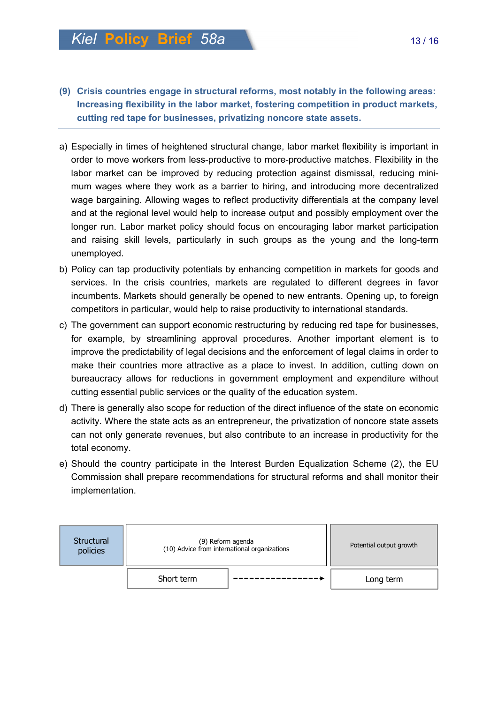- **(9) Crisis countries engage in structural reforms, most notably in the following areas: Increasing flexibility in the labor market, fostering competition in product markets, cutting red tape for businesses, privatizing noncore state assets.**
- a) Especially in times of heightened structural change, labor market flexibility is important in order to move workers from less-productive to more-productive matches. Flexibility in the labor market can be improved by reducing protection against dismissal, reducing minimum wages where they work as a barrier to hiring, and introducing more decentralized wage bargaining. Allowing wages to reflect productivity differentials at the company level and at the regional level would help to increase output and possibly employment over the longer run. Labor market policy should focus on encouraging labor market participation and raising skill levels, particularly in such groups as the young and the long-term unemployed.
- b) Policy can tap productivity potentials by enhancing competition in markets for goods and services. In the crisis countries, markets are regulated to different degrees in favor incumbents. Markets should generally be opened to new entrants. Opening up, to foreign competitors in particular, would help to raise productivity to international standards.
- c) The government can support economic restructuring by reducing red tape for businesses, for example, by streamlining approval procedures. Another important element is to improve the predictability of legal decisions and the enforcement of legal claims in order to make their countries more attractive as a place to invest. In addition, cutting down on bureaucracy allows for reductions in government employment and expenditure without cutting essential public services or the quality of the education system.
- d) There is generally also scope for reduction of the direct influence of the state on economic activity. Where the state acts as an entrepreneur, the privatization of noncore state assets can not only generate revenues, but also contribute to an increase in productivity for the total economy.
- e) Should the country participate in the Interest Burden Equalization Scheme (2), the EU Commission shall prepare recommendations for structural reforms and shall monitor their implementation.

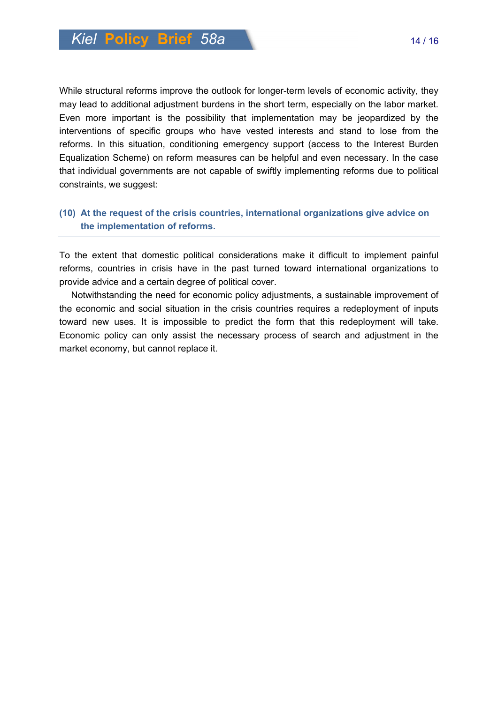While structural reforms improve the outlook for longer-term levels of economic activity, they may lead to additional adjustment burdens in the short term, especially on the labor market. Even more important is the possibility that implementation may be jeopardized by the interventions of specific groups who have vested interests and stand to lose from the reforms. In this situation, conditioning emergency support (access to the Interest Burden Equalization Scheme) on reform measures can be helpful and even necessary. In the case that individual governments are not capable of swiftly implementing reforms due to political constraints, we suggest:

## **(10) At the request of the crisis countries, international organizations give advice on the implementation of reforms.**

To the extent that domestic political considerations make it difficult to implement painful reforms, countries in crisis have in the past turned toward international organizations to provide advice and a certain degree of political cover.

Notwithstanding the need for economic policy adjustments, a sustainable improvement of the economic and social situation in the crisis countries requires a redeployment of inputs toward new uses. It is impossible to predict the form that this redeployment will take. Economic policy can only assist the necessary process of search and adjustment in the market economy, but cannot replace it.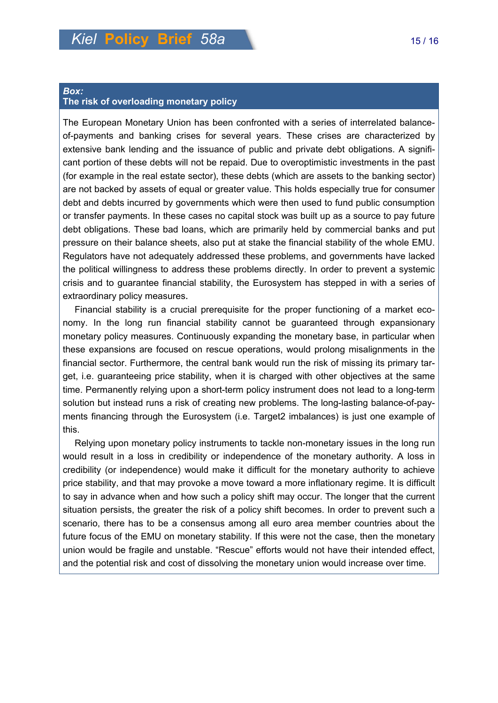#### *Box:*  **The risk of overloading monetary policy**

The European Monetary Union has been confronted with a series of interrelated balanceof-payments and banking crises for several years. These crises are characterized by extensive bank lending and the issuance of public and private debt obligations. A significant portion of these debts will not be repaid. Due to overoptimistic investments in the past (for example in the real estate sector), these debts (which are assets to the banking sector) are not backed by assets of equal or greater value. This holds especially true for consumer debt and debts incurred by governments which were then used to fund public consumption or transfer payments. In these cases no capital stock was built up as a source to pay future debt obligations. These bad loans, which are primarily held by commercial banks and put pressure on their balance sheets, also put at stake the financial stability of the whole EMU. Regulators have not adequately addressed these problems, and governments have lacked the political willingness to address these problems directly. In order to prevent a systemic crisis and to guarantee financial stability, the Eurosystem has stepped in with a series of extraordinary policy measures.

Financial stability is a crucial prerequisite for the proper functioning of a market economy. In the long run financial stability cannot be guaranteed through expansionary monetary policy measures. Continuously expanding the monetary base, in particular when these expansions are focused on rescue operations, would prolong misalignments in the financial sector. Furthermore, the central bank would run the risk of missing its primary target, i.e. guaranteeing price stability, when it is charged with other objectives at the same time. Permanently relying upon a short-term policy instrument does not lead to a long-term solution but instead runs a risk of creating new problems. The long-lasting balance-of-payments financing through the Eurosystem (i.e. Target2 imbalances) is just one example of this.

Relying upon monetary policy instruments to tackle non-monetary issues in the long run would result in a loss in credibility or independence of the monetary authority. A loss in credibility (or independence) would make it difficult for the monetary authority to achieve price stability, and that may provoke a move toward a more inflationary regime. It is difficult to say in advance when and how such a policy shift may occur. The longer that the current situation persists, the greater the risk of a policy shift becomes. In order to prevent such a scenario, there has to be a consensus among all euro area member countries about the future focus of the EMU on monetary stability. If this were not the case, then the monetary union would be fragile and unstable. "Rescue" efforts would not have their intended effect, and the potential risk and cost of dissolving the monetary union would increase over time.